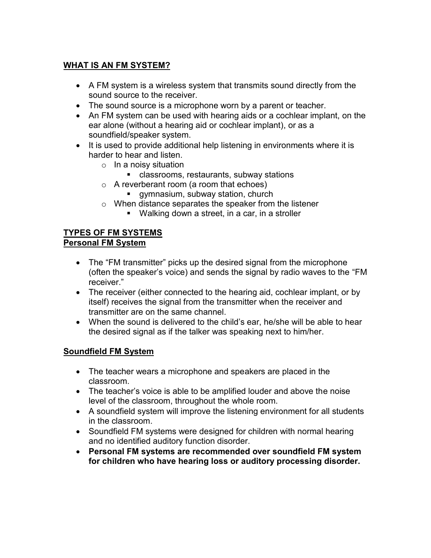# **WHAT IS AN FM SYSTEM?**

- A FM system is a wireless system that transmits sound directly from the sound source to the receiver.
- The sound source is a microphone worn by a parent or teacher.
- An FM system can be used with hearing aids or a cochlear implant, on the ear alone (without a hearing aid or cochlear implant), or as a soundfield/speaker system.
- It is used to provide additional help listening in environments where it is harder to hear and listen.
	- o In a noisy situation
		- classrooms, restaurants, subway stations
	- o A reverberant room (a room that echoes)
		- gymnasium, subway station, church
	- o When distance separates the speaker from the listener
		- Walking down a street, in a car, in a stroller

#### **TYPES OF FM SYSTEMS Personal FM System**

- The "FM transmitter" picks up the desired signal from the microphone (often the speaker's voice) and sends the signal by radio waves to the "FM receiver."
- The receiver (either connected to the hearing aid, cochlear implant, or by itself) receives the signal from the transmitter when the receiver and transmitter are on the same channel.
- When the sound is delivered to the child's ear, he/she will be able to hear the desired signal as if the talker was speaking next to him/her.

# **Soundfield FM System**

- The teacher wears a microphone and speakers are placed in the classroom.
- The teacher's voice is able to be amplified louder and above the noise level of the classroom, throughout the whole room.
- A soundfield system will improve the listening environment for all students in the classroom.
- Soundfield FM systems were designed for children with normal hearing and no identified auditory function disorder.
- **Personal FM systems are recommended over soundfield FM system for children who have hearing loss or auditory processing disorder.**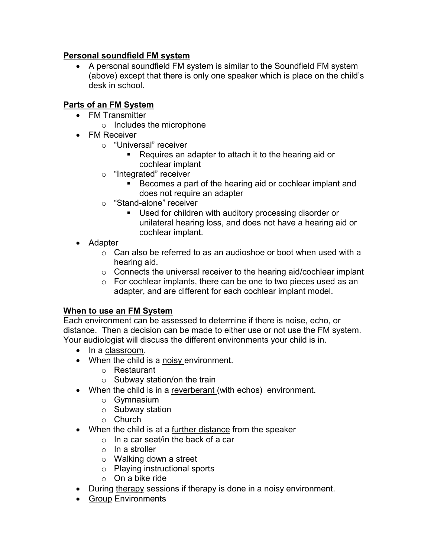## **Personal soundfield FM system**

 A personal soundfield FM system is similar to the Soundfield FM system (above) except that there is only one speaker which is place on the child's desk in school.

# **Parts of an FM System**

- FM Transmitter
	- o Includes the microphone
- FM Receiver
	- o "Universal" receiver
		- Requires an adapter to attach it to the hearing aid or cochlear implant
	- o "Integrated" receiver
		- Becomes a part of the hearing aid or cochlear implant and does not require an adapter
	- o "Stand-alone" receiver
		- Used for children with auditory processing disorder or unilateral hearing loss, and does not have a hearing aid or cochlear implant.
- Adapter
	- o Can also be referred to as an audioshoe or boot when used with a hearing aid.
	- $\circ$  Connects the universal receiver to the hearing aid/cochlear implant
	- o For cochlear implants, there can be one to two pieces used as an adapter, and are different for each cochlear implant model.

# **When to use an FM System**

Each environment can be assessed to determine if there is noise, echo, or distance. Then a decision can be made to either use or not use the FM system. Your audiologist will discuss the different environments your child is in.

- In a classroom.
- When the child is a noisy environment.
	- o Restaurant
	- o Subway station/on the train
- When the child is in a reverberant (with echos) environment.
	- o Gymnasium
	- o Subway station
	- o Church
- When the child is at a further distance from the speaker
	- o In a car seat/in the back of a car
	- o In a stroller
	- o Walking down a street
	- o Playing instructional sports
	- o On a bike ride
- During therapy sessions if therapy is done in a noisy environment.
- Group Environments